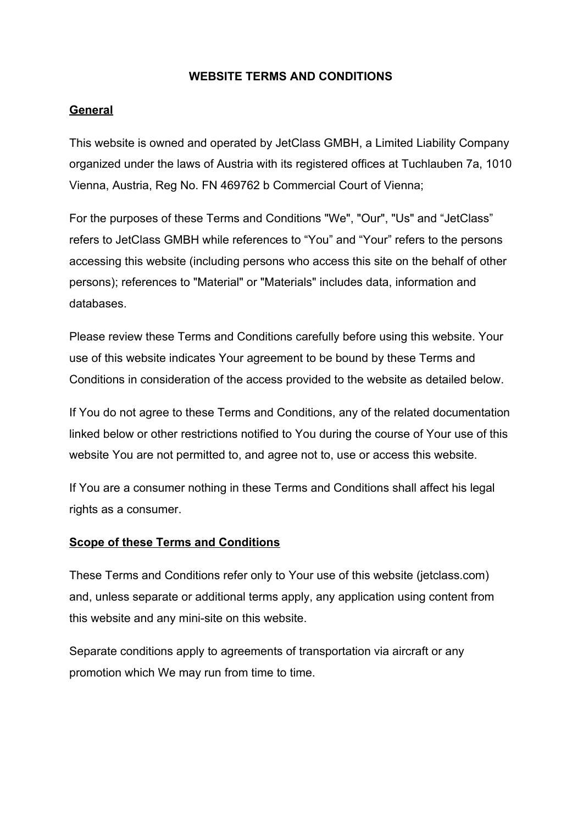#### **WEBSITE TERMS AND CONDITIONS**

## **General**

This website is owned and operated by JetClass GMBH, a Limited Liability Company organized under the laws of Austria with its registered offices at Tuchlauben 7a, 1010 Vienna, Austria, Reg No. FN 469762 b Commercial Court of Vienna;

For the purposes of these Terms and Conditions "We", "Our", "Us" and "JetClass" refers to JetClass GMBH while references to "You" and "Your" refers to the persons accessing this website (including persons who access this site on the behalf of other persons); references to "Material" or "Materials" includes data, information and databases.

Please review these Terms and Conditions carefully before using this website. Your use of this website indicates Your agreement to be bound by these Terms and Conditions in consideration of the access provided to the website as detailed below.

If You do not agree to these Terms and Conditions, any of the related documentation linked below or other restrictions notified to You during the course of Your use of this website You are not permitted to, and agree not to, use or access this website.

If You are a consumer nothing in these Terms and Conditions shall affect his legal rights as a consumer.

#### **Scope of these Terms and Conditions**

These Terms and Conditions refer only to Your use of this website (jetclass.com) and, unless separate or additional terms apply, any application using content from this website and any mini-site on this website.

Separate conditions apply to agreements of transportation via aircraft or any promotion which We may run from time to time.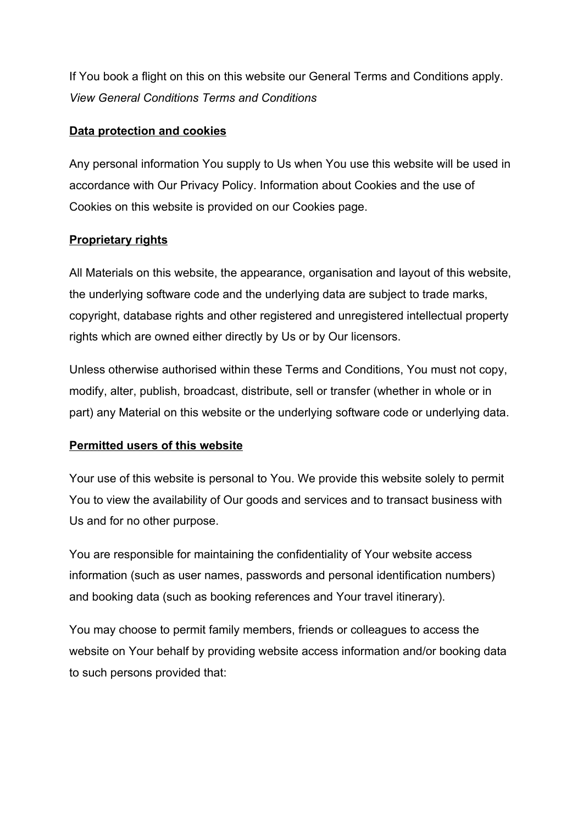If You book a flight on this on this website our General Terms and Conditions apply. *View General Conditions Terms and Conditions*

## **Data protection and cookies**

Any personal information You supply to Us when You use this website will be used in accordance with Our Privacy Policy. Information about Cookies and the use of Cookies on this website is provided on our Cookies page.

# **Proprietary rights**

All Materials on this website, the appearance, organisation and layout of this website, the underlying software code and the underlying data are subject to trade marks, copyright, database rights and other registered and unregistered intellectual property rights which are owned either directly by Us or by Our licensors.

Unless otherwise authorised within these Terms and Conditions, You must not copy, modify, alter, publish, broadcast, distribute, sell or transfer (whether in whole or in part) any Material on this website or the underlying software code or underlying data.

## **Permitted users of this website**

Your use of this website is personal to You. We provide this website solely to permit You to view the availability of Our goods and services and to transact business with Us and for no other purpose.

You are responsible for maintaining the confidentiality of Your website access information (such as user names, passwords and personal identification numbers) and booking data (such as booking references and Your travel itinerary).

You may choose to permit family members, friends or colleagues to access the website on Your behalf by providing website access information and/or booking data to such persons provided that: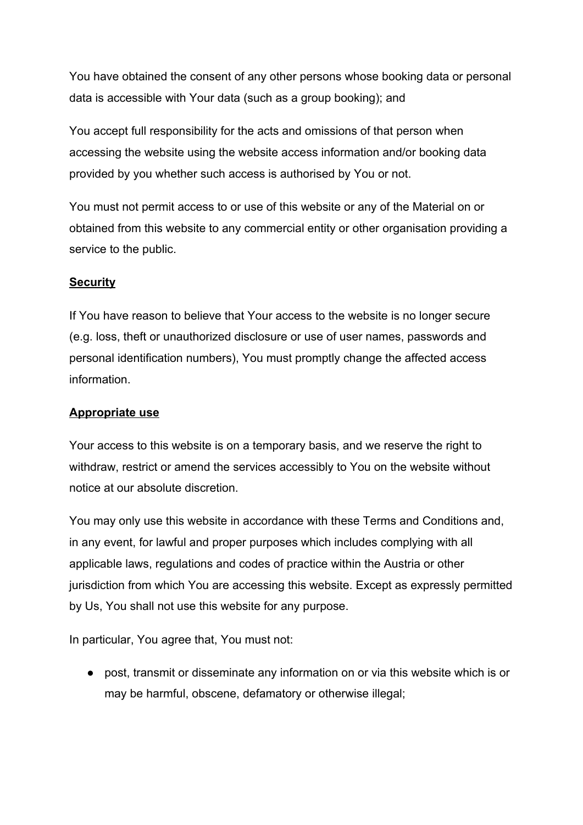You have obtained the consent of any other persons whose booking data or personal data is accessible with Your data (such as a group booking); and

You accept full responsibility for the acts and omissions of that person when accessing the website using the website access information and/or booking data provided by you whether such access is authorised by You or not.

You must not permit access to or use of this website or any of the Material on or obtained from this website to any commercial entity or other organisation providing a service to the public.

# **Security**

If You have reason to believe that Your access to the website is no longer secure (e.g. loss, theft or unauthorized disclosure or use of user names, passwords and personal identification numbers), You must promptly change the affected access information.

## **Appropriate use**

Your access to this website is on a temporary basis, and we reserve the right to withdraw, restrict or amend the services accessibly to You on the website without notice at our absolute discretion.

You may only use this website in accordance with these Terms and Conditions and, in any event, for lawful and proper purposes which includes complying with all applicable laws, regulations and codes of practice within the Austria or other jurisdiction from which You are accessing this website. Except as expressly permitted by Us, You shall not use this website for any purpose.

In particular, You agree that, You must not:

● post, transmit or disseminate any information on or via this website which is or may be harmful, obscene, defamatory or otherwise illegal;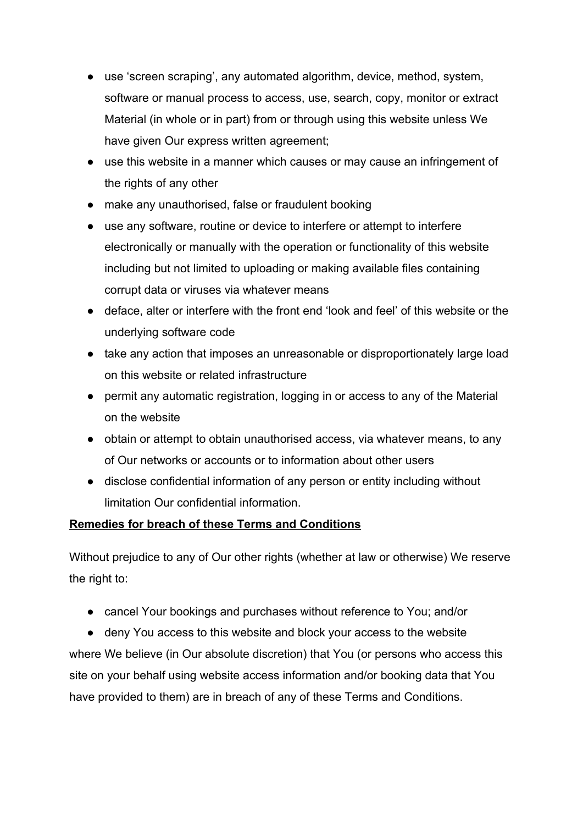- use 'screen scraping', any automated algorithm, device, method, system, software or manual process to access, use, search, copy, monitor or extract Material (in whole or in part) from or through using this website unless We have given Our express written agreement;
- use this website in a manner which causes or may cause an infringement of the rights of any other
- make any unauthorised, false or fraudulent booking
- use any software, routine or device to interfere or attempt to interfere electronically or manually with the operation or functionality of this website including but not limited to uploading or making available files containing corrupt data or viruses via whatever means
- deface, alter or interfere with the front end 'look and feel' of this website or the underlying software code
- take any action that imposes an unreasonable or disproportionately large load on this website or related infrastructure
- permit any automatic registration, logging in or access to any of the Material on the website
- obtain or attempt to obtain unauthorised access, via whatever means, to any of Our networks or accounts or to information about other users
- disclose confidential information of any person or entity including without limitation Our confidential information.

# **Remedies for breach of these Terms and Conditions**

Without prejudice to any of Our other rights (whether at law or otherwise) We reserve the right to:

● cancel Your bookings and purchases without reference to You; and/or

● deny You access to this website and block your access to the website where We believe (in Our absolute discretion) that You (or persons who access this site on your behalf using website access information and/or booking data that You have provided to them) are in breach of any of these Terms and Conditions.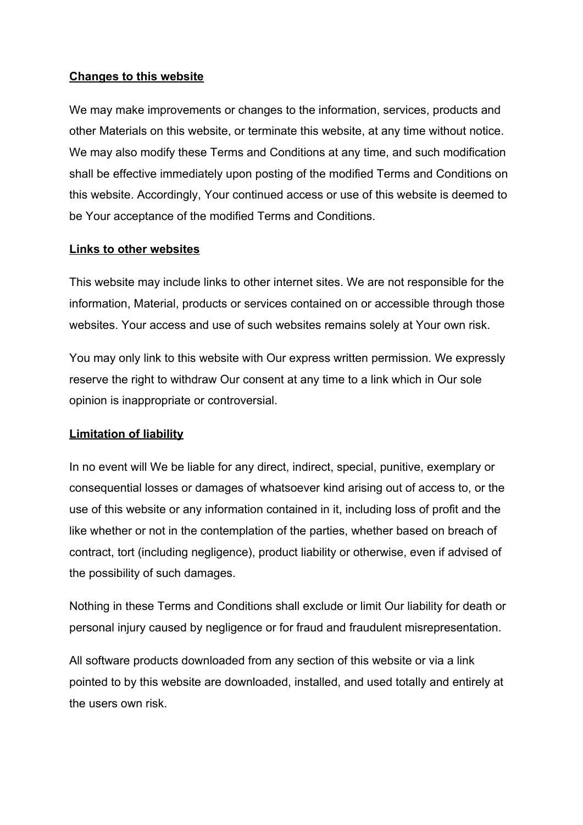## **Changes to this website**

We may make improvements or changes to the information, services, products and other Materials on this website, or terminate this website, at any time without notice. We may also modify these Terms and Conditions at any time, and such modification shall be effective immediately upon posting of the modified Terms and Conditions on this website. Accordingly, Your continued access or use of this website is deemed to be Your acceptance of the modified Terms and Conditions.

### **Links to other websites**

This website may include links to other internet sites. We are not responsible for the information, Material, products or services contained on or accessible through those websites. Your access and use of such websites remains solely at Your own risk.

You may only link to this website with Our express written permission. We expressly reserve the right to withdraw Our consent at any time to a link which in Our sole opinion is inappropriate or controversial.

## **Limitation of liability**

In no event will We be liable for any direct, indirect, special, punitive, exemplary or consequential losses or damages of whatsoever kind arising out of access to, or the use of this website or any information contained in it, including loss of profit and the like whether or not in the contemplation of the parties, whether based on breach of contract, tort (including negligence), product liability or otherwise, even if advised of the possibility of such damages.

Nothing in these Terms and Conditions shall exclude or limit Our liability for death or personal injury caused by negligence or for fraud and fraudulent misrepresentation.

All software products downloaded from any section of this website or via a link pointed to by this website are downloaded, installed, and used totally and entirely at the users own risk.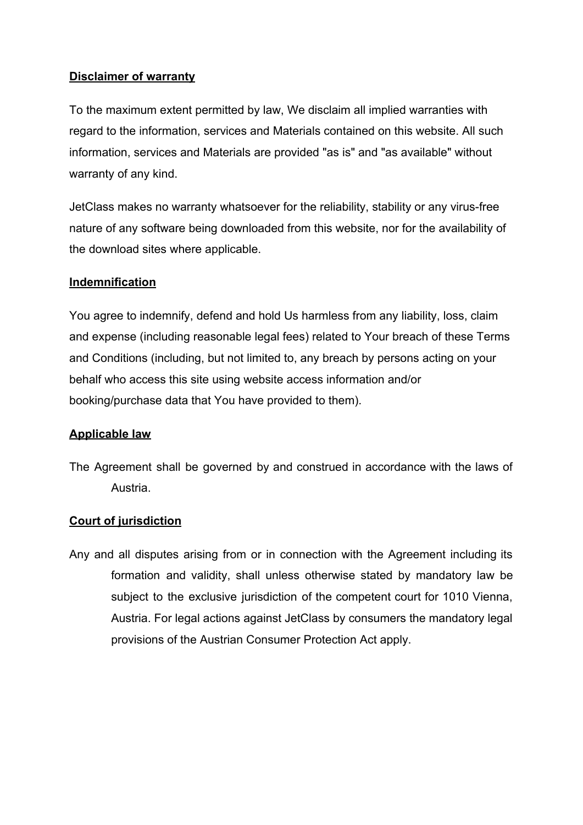## **Disclaimer of warranty**

To the maximum extent permitted by law, We disclaim all implied warranties with regard to the information, services and Materials contained on this website. All such information, services and Materials are provided "as is" and "as available" without warranty of any kind.

JetClass makes no warranty whatsoever for the reliability, stability or any virus-free nature of any software being downloaded from this website, nor for the availability of the download sites where applicable.

# **Indemnification**

You agree to indemnify, defend and hold Us harmless from any liability, loss, claim and expense (including reasonable legal fees) related to Your breach of these Terms and Conditions (including, but not limited to, any breach by persons acting on your behalf who access this site using website access information and/or booking/purchase data that You have provided to them).

## **Applicable law**

The Agreement shall be governed by and construed in accordance with the laws of Austria.

## **Court of jurisdiction**

Any and all disputes arising from or in connection with the Agreement including its formation and validity, shall unless otherwise stated by mandatory law be subject to the exclusive jurisdiction of the competent court for 1010 Vienna, Austria. For legal actions against JetClass by consumers the mandatory legal provisions of the Austrian Consumer Protection Act apply.